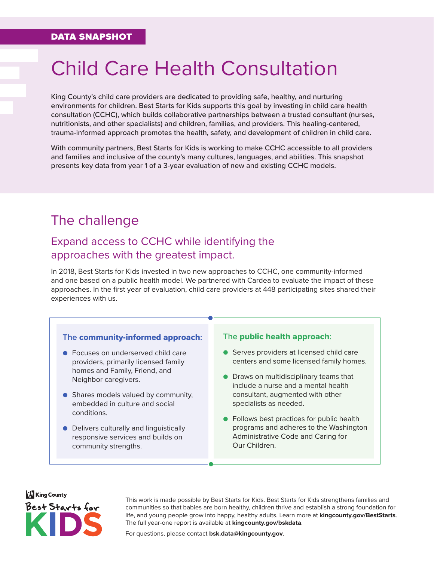# Child Care Health Consultation

King County's child care providers are dedicated to providing safe, healthy, and nurturing environments for children. Best Starts for Kids supports this goal by investing in child care health consultation (CCHC), which builds collaborative partnerships between a trusted consultant (nurses, nutritionists, and other specialists) and children, families, and providers. This healing-centered, trauma-informed approach promotes the health, safety, and development of children in child care.

With community partners, Best Starts for Kids is working to make CCHC accessible to all providers and families and inclusive of the county's many cultures, languages, and abilities. This snapshot presents key data from year 1 of a 3-year evaluation of new and existing CCHC models.

# The challenge

### Expand access to CCHC while identifying the approaches with the greatest impact.

In 2018, Best Starts for Kids invested in two new approaches to CCHC, one community-informed and one based on a public health model. We partnered with Cardea to evaluate the impact of these approaches. In the first year of evaluation, child care providers at 448 participating sites shared their experiences with us.

#### **The** community-informed approach**:**

- Focuses on underserved child care providers, primarily licensed family homes and Family, Friend, and Neighbor caregivers.
- Shares models valued by community, embedded in culture and social conditions.
- Delivers culturally and linguistically responsive services and builds on community strengths.

#### **The** public health approach**:**

- Serves providers at licensed child care centers and some licensed family homes.
- Draws on multidisciplinary teams that include a nurse and a mental health consultant, augmented with other specialists as needed.
- Follows best practices for public health programs and adheres to the Washington Administrative Code and Caring for Our Children.



This work is made possible by Best Starts for Kids. Best Starts for Kids strengthens families and communities so that babies are born healthy, children thrive and establish a strong foundation for life, and young people grow into happy, healthy adults. Learn more at **[kingcounty.gov/BestStarts](https://kingcounty.gov/depts/community-human-services/initiatives/best-starts-for-kids.aspx)**. The full year-one report is available at **[kingcounty.gov/bskdata](https://kingcounty.gov/bskdata)**.

For questions, please contact **[bsk.data@kingcounty.gov](mailto: bsk.data@kingcounty.gov)**.